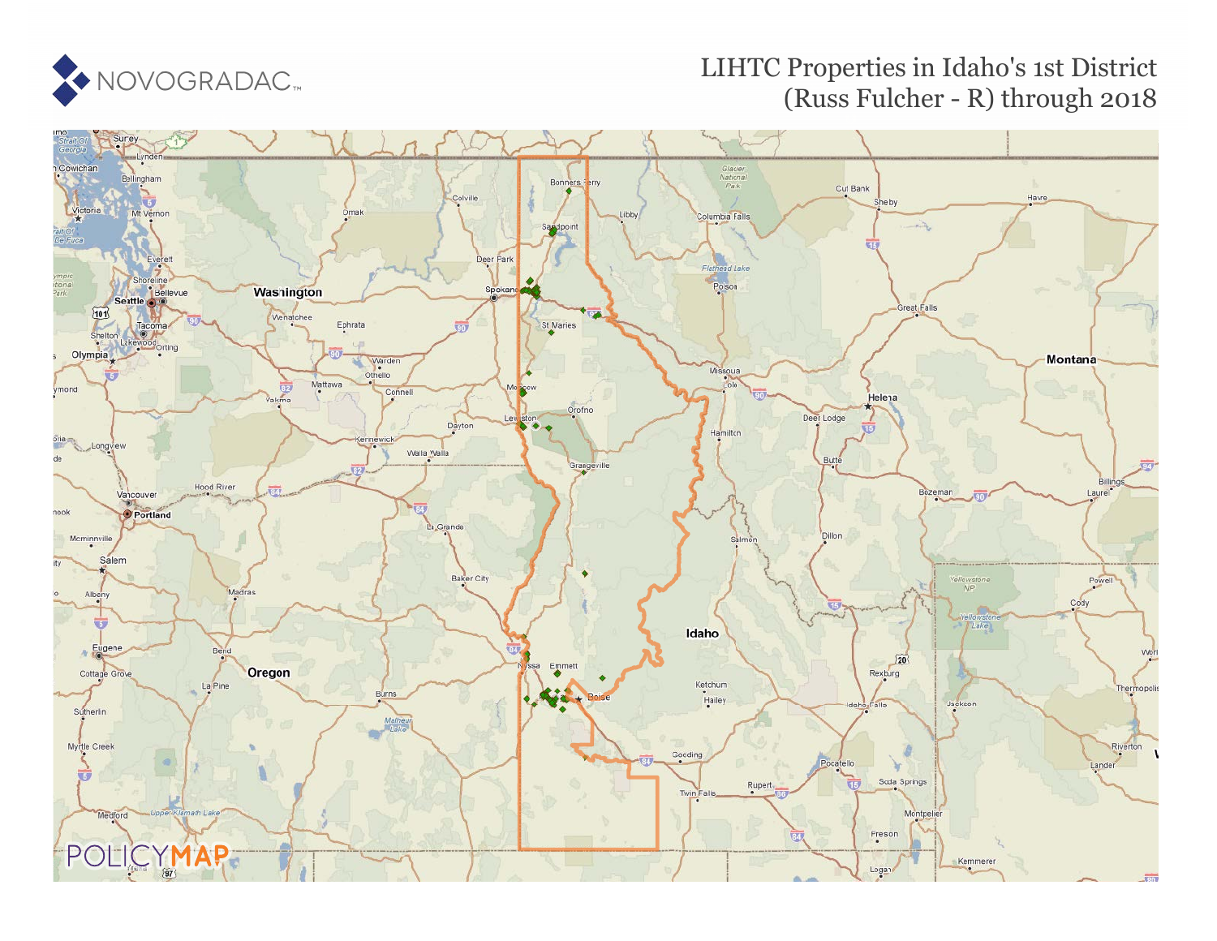

# LIHTC Properties in Idaho's 1st District (Russ Fulcher - R) through 2018

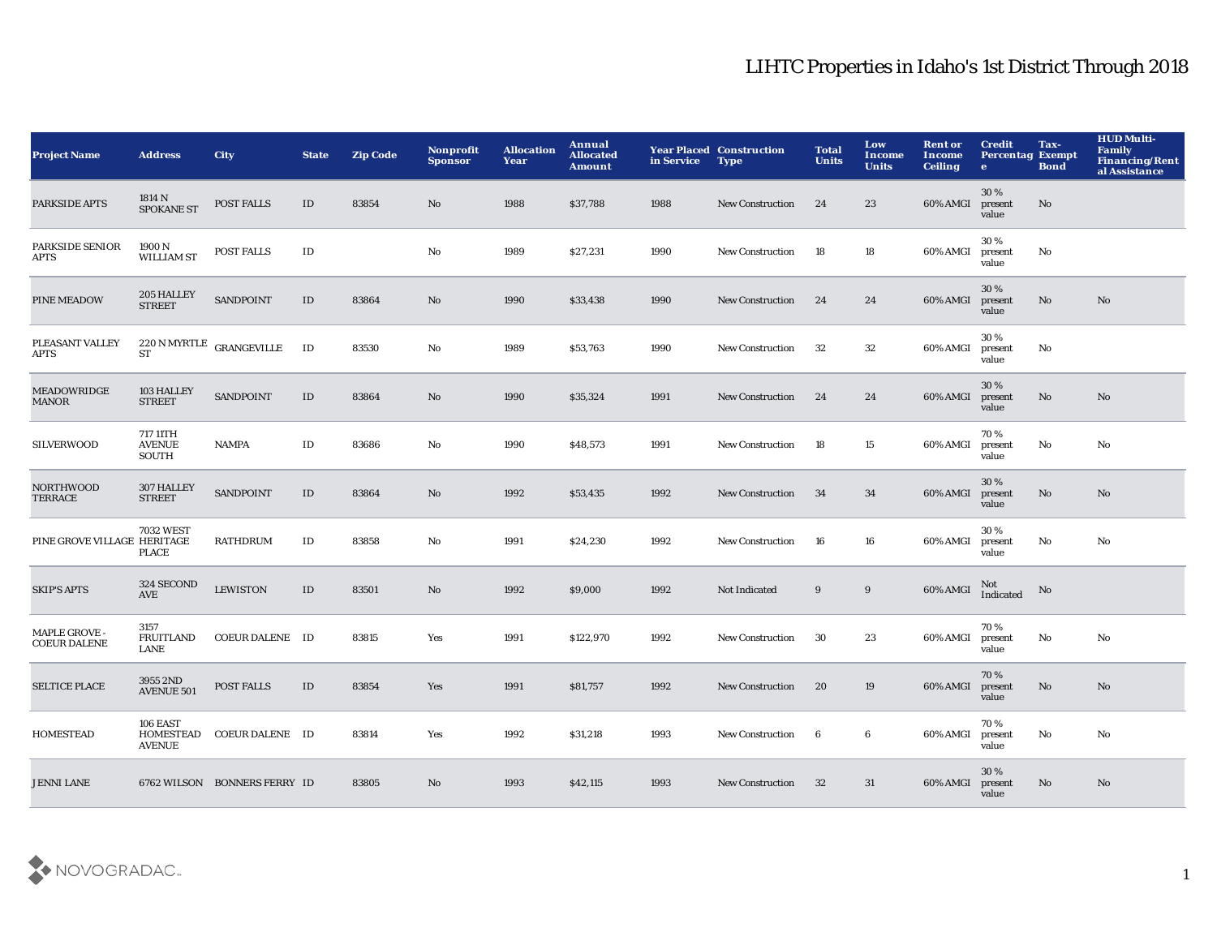| <b>Project Name</b>                  | <b>Address</b>                                | <b>City</b>                                             | <b>State</b>  | <b>Zip Code</b> | <b>Nonprofit</b><br><b>Sponsor</b> | <b>Allocation</b><br>Year | Annual<br><b>Allocated</b><br><b>Amount</b> | in Service | <b>Year Placed Construction</b><br><b>Type</b> | <b>Total</b><br><b>Units</b> | Low<br><b>Income</b><br><b>Units</b> | <b>Rent or</b><br>Income<br><b>Ceiling</b> | <b>Credit</b><br><b>Percentag Exempt</b><br>$\mathbf{e}$ | Tax-<br><b>Bond</b>    | <b>HUD Multi-</b><br><b>Family</b><br><b>Financing/Rent</b><br>al Assistance |
|--------------------------------------|-----------------------------------------------|---------------------------------------------------------|---------------|-----------------|------------------------------------|---------------------------|---------------------------------------------|------------|------------------------------------------------|------------------------------|--------------------------------------|--------------------------------------------|----------------------------------------------------------|------------------------|------------------------------------------------------------------------------|
| PARKSIDE APTS                        | 1814 N<br><b>SPOKANE ST</b>                   | POST FALLS                                              | ID            | 83854           | No                                 | 1988                      | \$37,788                                    | 1988       | <b>New Construction</b>                        | 24                           | 23                                   | 60% AMGI                                   | 30%<br>present<br>value                                  | $\mathbf{No}$          |                                                                              |
| <b>PARKSIDE SENIOR</b><br>APTS       | 1900 N<br><b>WILLIAM ST</b>                   | POST FALLS                                              | $\rm ID$      |                 | No                                 | 1989                      | \$27,231                                    | 1990       | New Construction                               | 18                           | 18                                   | 60% AMGI                                   | 30%<br>present<br>value                                  | No                     |                                                                              |
| PINE MEADOW                          | 205 HALLEY<br><b>STREET</b>                   | SANDPOINT                                               | $\mathbf{ID}$ | 83864           | No                                 | 1990                      | \$33,438                                    | 1990       | <b>New Construction</b>                        | 24                           | 24                                   | 60% AMGI                                   | 30 %<br>present<br>value                                 | $\mathbf{No}$          | $\mathbf{N}\mathbf{o}$                                                       |
| PLEASANT VALLEY<br>APTS              | <b>ST</b>                                     | $220\,\mathrm{N}\,\mathrm{MYR}\mathrm{TLE}$ GRANGEVILLE | ID            | 83530           | No                                 | 1989                      | \$53,763                                    | 1990       | New Construction                               | 32                           | $32\,$                               | 60% AMGI                                   | 30%<br>present<br>value                                  | No                     |                                                                              |
| MEADOWRIDGE<br><b>MANOR</b>          | 103 HALLEY<br><b>STREET</b>                   | <b>SANDPOINT</b>                                        | $\mathbf{ID}$ | 83864           | No                                 | 1990                      | \$35,324                                    | 1991       | <b>New Construction</b>                        | 24                           | 24                                   | 60% AMGI                                   | 30%<br>present<br>value                                  | No                     | No                                                                           |
| <b>SILVERWOOD</b>                    | 717 11TH<br><b>AVENUE</b><br>SOUTH            | <b>NAMPA</b>                                            | ID            | 83686           | No                                 | 1990                      | \$48,573                                    | 1991       | <b>New Construction</b>                        | 18                           | 15                                   | 60% AMGI                                   | 70%<br>present<br>value                                  | No                     | No                                                                           |
| <b>NORTHWOOD</b><br>TERRACE          | 307 HALLEY<br><b>STREET</b>                   | <b>SANDPOINT</b>                                        | ID            | 83864           | No                                 | 1992                      | \$53,435                                    | 1992       | <b>New Construction</b>                        | 34                           | 34                                   | 60% AMGI                                   | 30%<br>present<br>value                                  | $\mathbf{No}$          | No                                                                           |
| PINE GROVE VILLAGE HERITAGE          | <b>7032 WEST</b><br><b>PLACE</b>              | <b>RATHDRUM</b>                                         | $\rm ID$      | 83858           | No                                 | 1991                      | \$24,230                                    | 1992       | <b>New Construction</b>                        | 16                           | 16                                   | 60% AMGI                                   | 30%<br>present<br>value                                  | $\mathbf{No}$          | No                                                                           |
| <b>SKIP'S APTS</b>                   | 324 SECOND<br>AVE                             | <b>LEWISTON</b>                                         | $\mathbf{ID}$ | 83501           | No                                 | 1992                      | \$9,000                                     | 1992       | Not Indicated                                  | $\boldsymbol{9}$             | $\boldsymbol{9}$                     | $60\%$ AMGI                                | Not<br>Indicated                                         | No                     |                                                                              |
| MAPLE GROVE -<br><b>COEUR DALENE</b> | 3157<br><b>FRUITLAND</b><br>LANE              | COEUR DALENE ID                                         |               | 83815           | Yes                                | 1991                      | \$122,970                                   | 1992       | New Construction                               | 30                           | 23                                   | 60% AMGI                                   | 70%<br>present<br>value                                  | No                     | No                                                                           |
| <b>SELTICE PLACE</b>                 | 3955 2ND<br><b>AVENUE 501</b>                 | POST FALLS                                              | $\rm ID$      | 83854           | Yes                                | 1991                      | \$81,757                                    | 1992       | <b>New Construction</b>                        | 20                           | 19                                   | 60% AMGI                                   | 70%<br>present<br>value                                  | $\mathbf{N}\mathbf{o}$ | No                                                                           |
| <b>HOMESTEAD</b>                     | 106 EAST<br><b>HOMESTEAD</b><br><b>AVENUE</b> | <b>COEUR DALENE ID</b>                                  |               | 83814           | Yes                                | 1992                      | \$31,218                                    | 1993       | <b>New Construction</b>                        | 6                            | 6                                    | 60% AMGI                                   | 70%<br>present<br>value                                  | No                     | No                                                                           |
| <b>JENNI LANE</b>                    |                                               | 6762 WILSON BONNERS FERRY ID                            |               | 83805           | No                                 | 1993                      | \$42,115                                    | 1993       | <b>New Construction</b>                        | 32                           | 31                                   | 60% AMGI                                   | 30 %<br>present<br>value                                 | No.                    | No                                                                           |

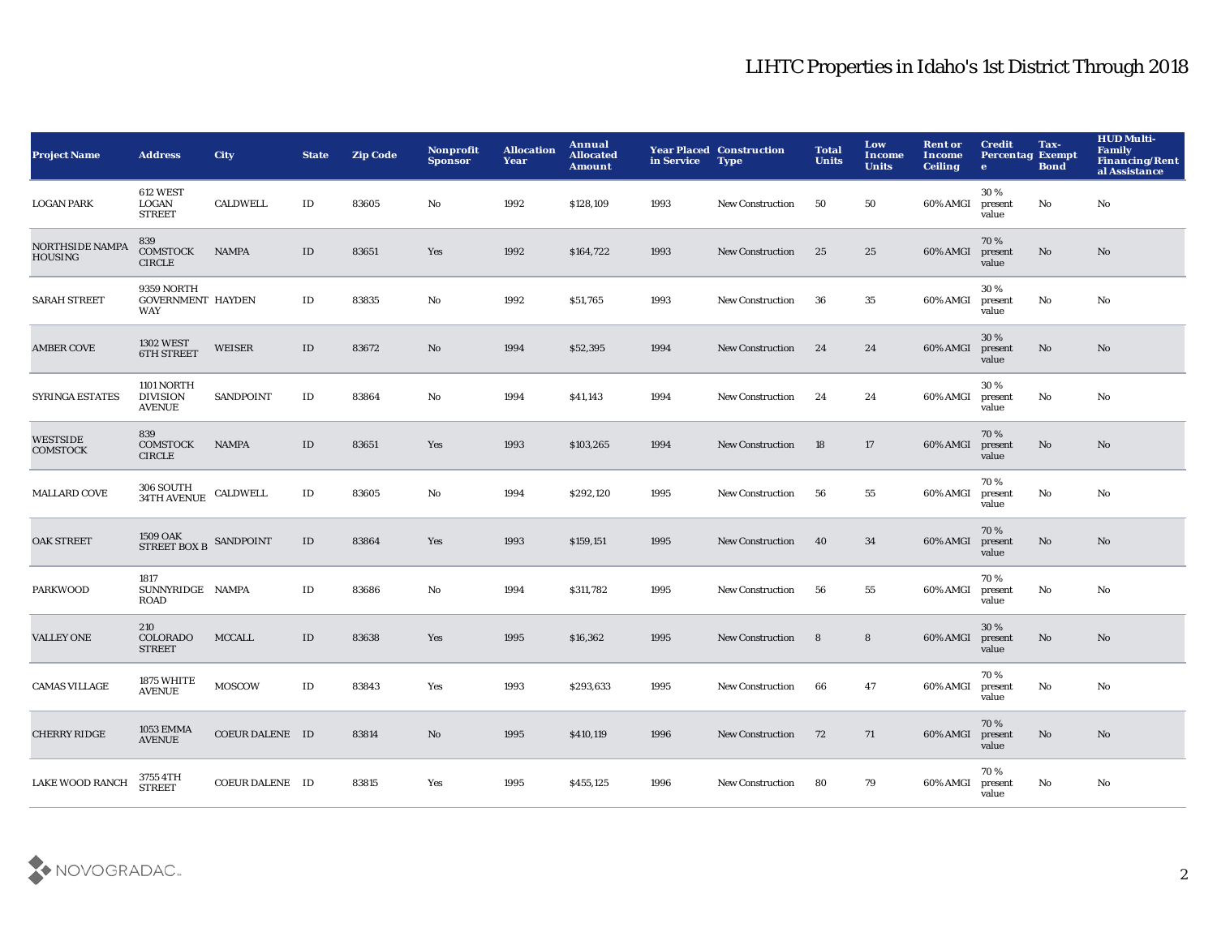| <b>Project Name</b>                      | <b>Address</b>                                 | City                   | <b>State</b>  | <b>Zip Code</b> | Nonprofit<br><b>Sponsor</b> | <b>Allocation</b><br>Year | Annual<br><b>Allocated</b><br><b>Amount</b> | in Service | <b>Year Placed Construction</b><br><b>Type</b> | <b>Total</b><br><b>Units</b> | Low<br><b>Income</b><br><b>Units</b> | <b>Rent or</b><br><b>Income</b><br><b>Ceiling</b> | <b>Credit</b><br><b>Percentag Exempt</b><br>$\bullet$ | Tax-<br><b>Bond</b> | <b>HUD Multi-</b><br><b>Family</b><br><b>Financing/Rent</b><br>al Assistance |
|------------------------------------------|------------------------------------------------|------------------------|---------------|-----------------|-----------------------------|---------------------------|---------------------------------------------|------------|------------------------------------------------|------------------------------|--------------------------------------|---------------------------------------------------|-------------------------------------------------------|---------------------|------------------------------------------------------------------------------|
| <b>LOGAN PARK</b>                        | 612 WEST<br>LOGAN<br><b>STREET</b>             | <b>CALDWELL</b>        | ID            | 83605           | No                          | 1992                      | \$128,109                                   | 1993       | New Construction                               | 50                           | 50                                   | 60% AMGI                                          | 30%<br>present<br>value                               | No                  | No                                                                           |
| <b>NORTHSIDE NAMPA</b><br><b>HOUSING</b> | 839<br><b>COMSTOCK</b><br><b>CIRCLE</b>        | <b>NAMPA</b>           | $\mathbf{ID}$ | 83651           | Yes                         | 1992                      | \$164,722                                   | 1993       | <b>New Construction</b>                        | 25                           | 25                                   | 60% AMGI                                          | 70%<br>present<br>value                               | No                  | No                                                                           |
| <b>SARAH STREET</b>                      | 9359 NORTH<br><b>GOVERNMENT HAYDEN</b><br>WAY  |                        | $\rm ID$      | 83835           | No                          | 1992                      | \$51,765                                    | 1993       | <b>New Construction</b>                        | 36                           | 35                                   | 60% AMGI                                          | 30 %<br>present<br>value                              | No                  | No                                                                           |
| <b>AMBER COVE</b>                        | <b>1302 WEST</b><br><b>6TH STREET</b>          | WEISER                 | $\mathbf{ID}$ | 83672           | No                          | 1994                      | \$52,395                                    | 1994       | <b>New Construction</b>                        | 24                           | 24                                   | 60% AMGI                                          | 30%<br>present<br>value                               | $\mathbf{No}$       | No                                                                           |
| SYRINGA ESTATES                          | 1101 NORTH<br><b>DIVISION</b><br><b>AVENUE</b> | <b>SANDPOINT</b>       | $\rm ID$      | 83864           | No                          | 1994                      | \$41,143                                    | 1994       | <b>New Construction</b>                        | 24                           | 24                                   | 60% AMGI                                          | 30%<br>present<br>value                               | $\mathbf {No}$      | No                                                                           |
| WESTSIDE<br><b>COMSTOCK</b>              | 839<br><b>COMSTOCK</b><br><b>CIRCLE</b>        | NAMPA                  | $\mathbf{ID}$ | 83651           | Yes                         | 1993                      | \$103,265                                   | 1994       | <b>New Construction</b>                        | 18                           | 17                                   | 60% AMGI                                          | 70%<br>present<br>value                               | No                  | No                                                                           |
| <b>MALLARD COVE</b>                      | 306 SOUTH<br><b>34TH AVENUE</b>                | CALDWELL               | $\mathbf{ID}$ | 83605           | No                          | 1994                      | \$292,120                                   | 1995       | <b>New Construction</b>                        | 56                           | 55                                   | 60% AMGI                                          | 70%<br>present<br>value                               | No                  | No                                                                           |
| <b>OAK STREET</b>                        | $1509$ OAK $$\sf SANDPOINT$$                   |                        | $\rm ID$      | 83864           | Yes                         | 1993                      | \$159,151                                   | 1995       | <b>New Construction</b>                        | 40                           | 34                                   | 60% AMGI                                          | 70%<br>present<br>value                               | No                  | No                                                                           |
| <b>PARKWOOD</b>                          | 1817<br>SUNNYRIDGE NAMPA<br>ROAD               |                        | ID            | 83686           | No                          | 1994                      | \$311,782                                   | 1995       | New Construction                               | 56                           | 55                                   | 60% AMGI                                          | 70%<br>present<br>value                               | No                  | No                                                                           |
| <b>VALLEY ONE</b>                        | 210<br>COLORADO<br><b>STREET</b>               | <b>MCCALL</b>          | $\mathbf{ID}$ | 83638           | Yes                         | 1995                      | \$16,362                                    | 1995       | <b>New Construction</b>                        | 8                            | $8\phantom{1}$                       | 60% AMGI                                          | 30 %<br>present<br>value                              | $\mathbf{No}$       | No                                                                           |
| <b>CAMAS VILLAGE</b>                     | 1875 WHITE<br><b>AVENUE</b>                    | <b>MOSCOW</b>          | $\rm ID$      | 83843           | Yes                         | 1993                      | \$293,633                                   | 1995       | New Construction                               | 66                           | 47                                   | 60% AMGI                                          | 70%<br>present<br>value                               | No                  | No                                                                           |
| <b>CHERRY RIDGE</b>                      | <b>1053 EMMA</b><br><b>AVENUE</b>              | <b>COEUR DALENE ID</b> |               | 83814           | No                          | 1995                      | \$410,119                                   | 1996       | <b>New Construction</b>                        | 72                           | 71                                   | 60% AMGI                                          | 70%<br>present<br>value                               | No                  | No                                                                           |
| <b>LAKE WOOD RANCH</b>                   | 3755 4TH<br><b>STREET</b>                      | COEUR DALENE ID        |               | 83815           | Yes                         | 1995                      | \$455,125                                   | 1996       | <b>New Construction</b>                        | 80                           | 79                                   | 60% AMGI                                          | 70%<br>present<br>value                               | No                  | No                                                                           |

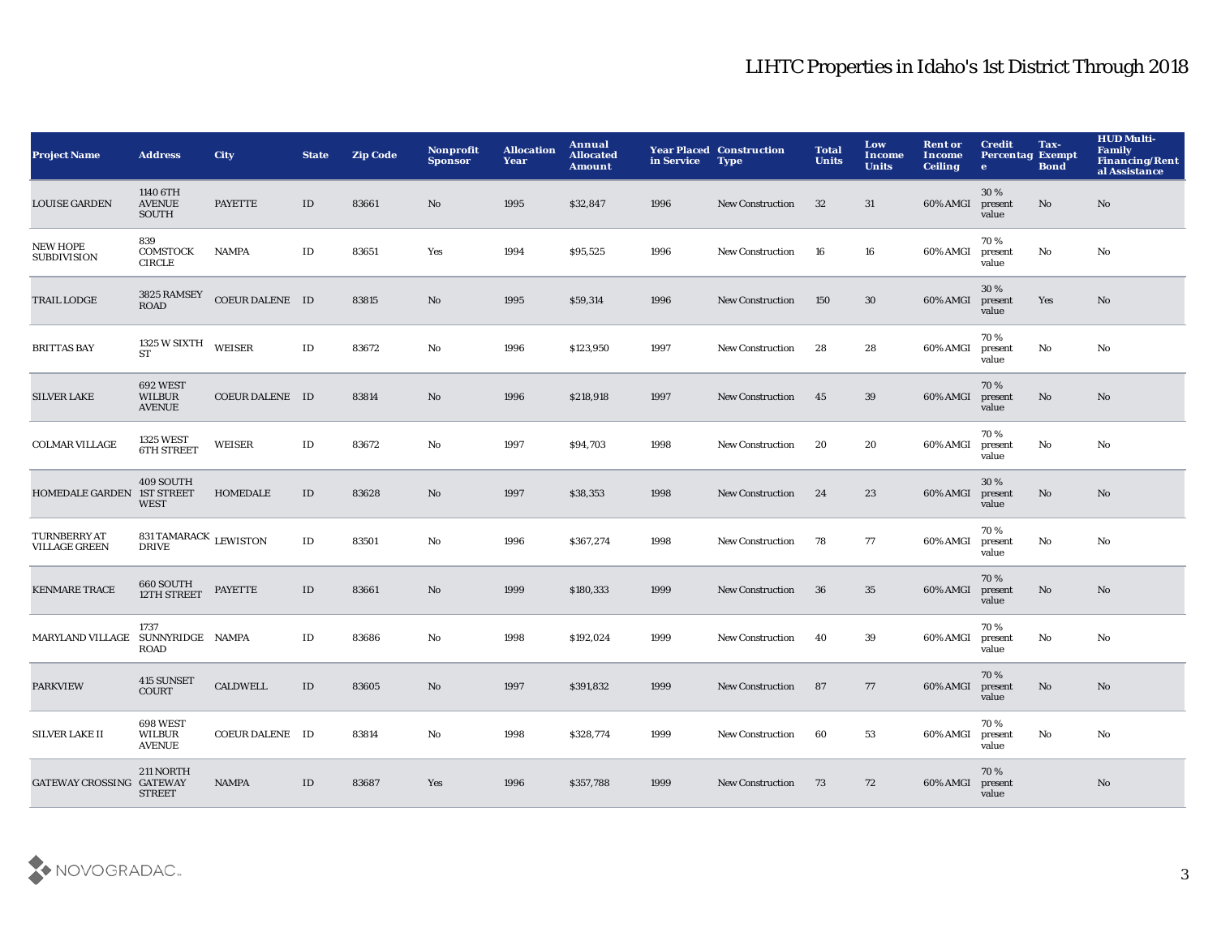| <b>Project Name</b>                         | <b>Address</b>                                | <b>City</b>     | <b>State</b> | <b>Zip Code</b> | Nonprofit<br><b>Sponsor</b> | <b>Allocation</b><br>Year | Annual<br><b>Allocated</b><br><b>Amount</b> | in Service | <b>Year Placed Construction</b><br><b>Type</b> | <b>Total</b><br><b>Units</b> | Low<br><b>Income</b><br><b>Units</b> | <b>Rent or</b><br>Income<br><b>Ceiling</b> | <b>Credit</b><br><b>Percentag Exempt</b><br>$\bullet$ | Tax-<br><b>Bond</b>    | <b>HUD Multi-</b><br><b>Family</b><br><b>Financing/Rent</b><br>al Assistance |
|---------------------------------------------|-----------------------------------------------|-----------------|--------------|-----------------|-----------------------------|---------------------------|---------------------------------------------|------------|------------------------------------------------|------------------------------|--------------------------------------|--------------------------------------------|-------------------------------------------------------|------------------------|------------------------------------------------------------------------------|
| <b>LOUISE GARDEN</b>                        | 1140 6TH<br><b>AVENUE</b><br>SOUTH            | <b>PAYETTE</b>  | ID           | 83661           | No                          | 1995                      | \$32,847                                    | 1996       | <b>New Construction</b>                        | 32                           | 31                                   | 60% AMGI                                   | 30%<br>present<br>value                               | No                     | No                                                                           |
| <b>NEW HOPE</b><br><b>SUBDIVISION</b>       | 839<br>COMSTOCK<br><b>CIRCLE</b>              | <b>NAMPA</b>    | ID           | 83651           | Yes                         | 1994                      | \$95,525                                    | 1996       | <b>New Construction</b>                        | 16                           | 16                                   | 60% AMGI                                   | 70%<br>present<br>value                               | No                     | No                                                                           |
| <b>TRAIL LODGE</b>                          | 3825 RAMSEY<br><b>ROAD</b>                    | COEUR DALENE ID |              | 83815           | No                          | 1995                      | \$59,314                                    | 1996       | <b>New Construction</b>                        | 150                          | 30                                   | 60% AMGI                                   | 30%<br>present<br>value                               | Yes                    | $\mathbf{N}\mathbf{o}$                                                       |
| <b>BRITTAS BAY</b>                          | 1325 W SIXTH<br><b>ST</b>                     | WEISER          | $\rm ID$     | 83672           | No                          | 1996                      | \$123,950                                   | 1997       | New Construction                               | 28                           | 28                                   | 60% AMGI                                   | 70%<br>present<br>value                               | No                     | No                                                                           |
| <b>SILVER LAKE</b>                          | 692 WEST<br><b>WILBUR</b><br><b>AVENUE</b>    | COEUR DALENE ID |              | 83814           | No                          | 1996                      | \$218,918                                   | 1997       | <b>New Construction</b>                        | 45                           | 39                                   | 60% AMGI                                   | 70%<br>present<br>value                               | $\mathbf{N}\mathbf{o}$ | No                                                                           |
| <b>COLMAR VILLAGE</b>                       | <b>1325 WEST</b><br><b>6TH STREET</b>         | WEISER          | $\rm ID$     | 83672           | No                          | 1997                      | \$94,703                                    | 1998       | <b>New Construction</b>                        | 20                           | 20                                   | 60% AMGI                                   | 70 %<br>present<br>value                              | No                     | No                                                                           |
| HOMEDALE GARDEN 1ST STREET                  | 409 SOUTH<br><b>WEST</b>                      | <b>HOMEDALE</b> | $\rm ID$     | 83628           | No                          | 1997                      | \$38,353                                    | 1998       | <b>New Construction</b>                        | 24                           | 23                                   | 60% AMGI                                   | 30%<br>present<br>value                               | No                     | $\mathbf{N}\mathbf{o}$                                                       |
| <b>TURNBERRY AT</b><br><b>VILLAGE GREEN</b> | 831 TAMARACK $$\sf LEWISTON$$<br><b>DRIVE</b> |                 | $\rm ID$     | 83501           | No                          | 1996                      | \$367,274                                   | 1998       | <b>New Construction</b>                        | 78                           | 77                                   | 60% AMGI                                   | 70%<br>present<br>value                               | No                     | No                                                                           |
| <b>KENMARE TRACE</b>                        | 660 SOUTH<br>12TH STREET                      | <b>PAYETTE</b>  | $\rm ID$     | 83661           | No                          | 1999                      | \$180,333                                   | 1999       | <b>New Construction</b>                        | 36                           | 35                                   | 60% AMGI                                   | 70%<br>present<br>value                               | No                     | No                                                                           |
| <b>MARYLAND VILLAGE</b>                     | 1737<br>SUNNYRIDGE NAMPA<br><b>ROAD</b>       |                 | $\rm ID$     | 83686           | $\mathbf{No}$               | 1998                      | \$192,024                                   | 1999       | <b>New Construction</b>                        | 40                           | 39                                   | 60% AMGI                                   | 70 %<br>present<br>value                              | No                     | No                                                                           |
| <b>PARKVIEW</b>                             | 415 SUNSET<br><b>COURT</b>                    | <b>CALDWELL</b> | $\rm ID$     | 83605           | No                          | 1997                      | \$391,832                                   | 1999       | <b>New Construction</b>                        | 87                           | 77                                   | 60% AMGI                                   | 70%<br>present<br>value                               | No                     | No                                                                           |
| <b>SILVER LAKE II</b>                       | 698 WEST<br><b>WILBUR</b><br><b>AVENUE</b>    | COEUR DALENE ID |              | 83814           | No                          | 1998                      | \$328,774                                   | 1999       | <b>New Construction</b>                        | 60                           | 53                                   | 60% AMGI                                   | 70%<br>present<br>value                               | No                     | No                                                                           |
| GATEWAY CROSSING GATEWAY                    | 211 NORTH<br><b>STREET</b>                    | <b>NAMPA</b>    | ID           | 83687           | Yes                         | 1996                      | \$357,788                                   | 1999       | <b>New Construction</b>                        | 73                           | 72                                   | 60% AMGI                                   | 70%<br>present<br>value                               |                        | No                                                                           |

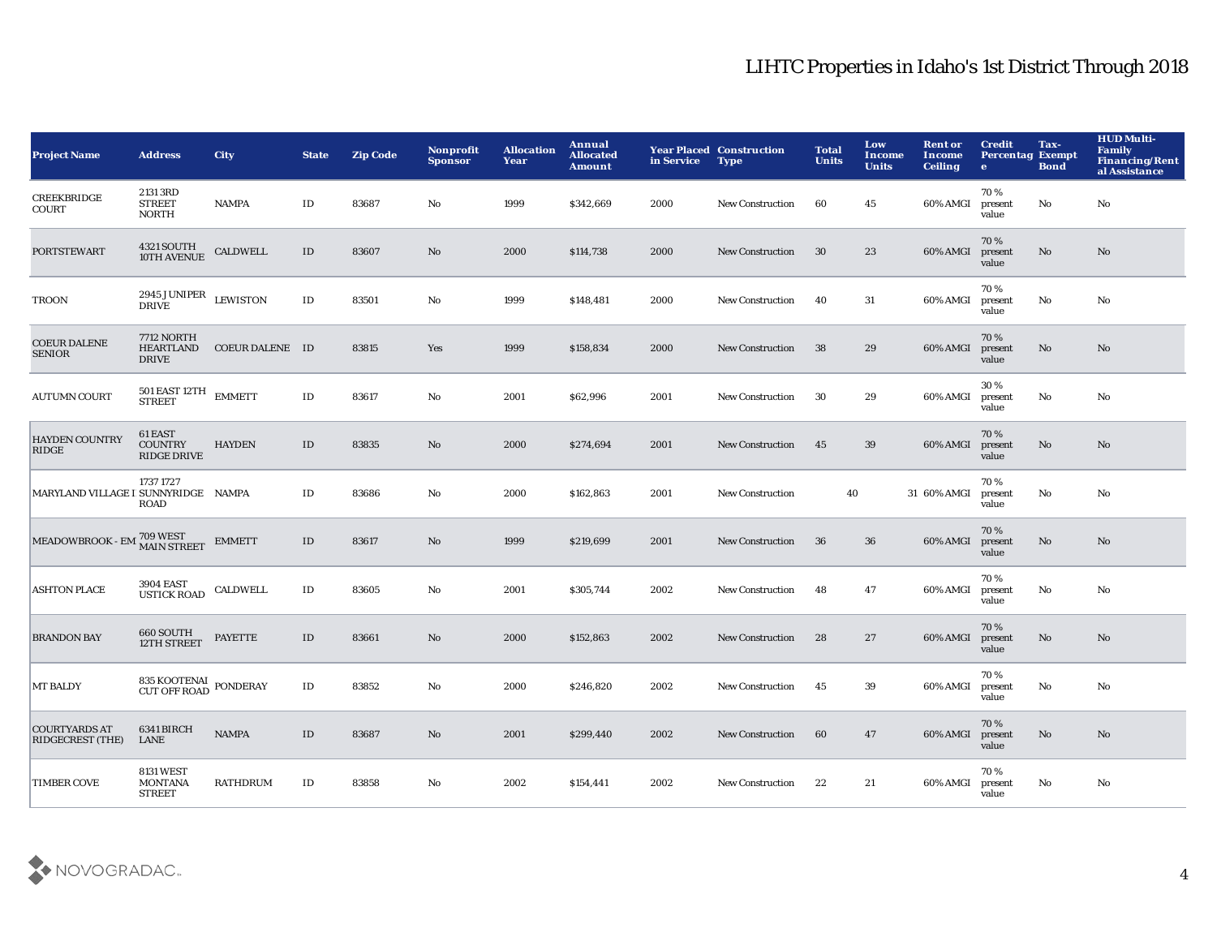| <b>Project Name</b>                      | <b>Address</b>                                        | <b>City</b>     | <b>State</b>  | <b>Zip Code</b> | <b>Nonprofit</b><br><b>Sponsor</b> | <b>Allocation</b><br>Year | Annual<br><b>Allocated</b><br><b>Amount</b> | in Service | <b>Year Placed Construction</b><br><b>Type</b> | <b>Total</b><br><b>Units</b> | Low<br><b>Income</b><br><b>Units</b> | <b>Rent or</b><br><b>Income</b><br><b>Ceiling</b> | <b>Credit</b><br><b>Percentag Exempt</b><br>$\bullet$ | Tax-<br><b>Bond</b> | <b>HUD Multi-</b><br><b>Family</b><br><b>Financing/Rent</b><br>al Assistance |
|------------------------------------------|-------------------------------------------------------|-----------------|---------------|-----------------|------------------------------------|---------------------------|---------------------------------------------|------------|------------------------------------------------|------------------------------|--------------------------------------|---------------------------------------------------|-------------------------------------------------------|---------------------|------------------------------------------------------------------------------|
| CREEKBRIDGE<br><b>COURT</b>              | 2131 3RD<br><b>STREET</b><br><b>NORTH</b>             | NAMPA           | ID            | 83687           | No                                 | 1999                      | \$342,669                                   | 2000       | <b>New Construction</b>                        | 60                           | 45                                   | 60% AMGI                                          | 70%<br>present<br>value                               | No                  | No                                                                           |
| <b>PORTSTEWART</b>                       | 4321 SOUTH<br>10TH AVENUE                             | <b>CALDWELL</b> | $\rm ID$      | 83607           | No                                 | 2000                      | \$114,738                                   | 2000       | <b>New Construction</b>                        | 30                           | 23                                   | 60% AMGI                                          | 70%<br>present<br>value                               | No                  | No                                                                           |
| <b>TROON</b>                             | 2945 JUNIPER<br><b>DRIVE</b>                          | <b>LEWISTON</b> | $\mathbf{ID}$ | 83501           | $\mathbf {No}$                     | 1999                      | \$148,481                                   | 2000       | <b>New Construction</b>                        | 40                           | 31                                   | 60% AMGI                                          | 70%<br>present<br>value                               | $\mathbf {No}$      | $\mathbf{N}\mathbf{o}$                                                       |
| <b>COEUR DALENE</b><br><b>SENIOR</b>     | <b>7712 NORTH</b><br><b>HEARTLAND</b><br><b>DRIVE</b> | COEUR DALENE ID |               | 83815           | Yes                                | 1999                      | \$158,834                                   | 2000       | <b>New Construction</b>                        | 38                           | 29                                   | 60% AMGI                                          | 70%<br>present<br>value                               | No                  | No                                                                           |
| <b>AUTUMN COURT</b>                      | 501 EAST 12TH<br><b>STREET</b>                        | <b>EMMETT</b>   | $\rm ID$      | 83617           | $\mathbf{No}$                      | 2001                      | \$62,996                                    | 2001       | <b>New Construction</b>                        | 30                           | 29                                   | 60% AMGI                                          | 30%<br>present<br>value                               | No                  | No                                                                           |
| <b>HAYDEN COUNTRY</b><br>RIDGE           | 61 EAST<br><b>COUNTRY</b><br><b>RIDGE DRIVE</b>       | <b>HAYDEN</b>   | $\rm ID$      | 83835           | $\mathbf{No}$                      | 2000                      | \$274,694                                   | 2001       | <b>New Construction</b>                        | 45                           | 39                                   | 60% AMGI                                          | 70%<br>present<br>value                               | $\mathbf{No}$       | No                                                                           |
| MARYLAND VILLAGE I SUNNYRIDGE NAMPA      | 1737 1727<br><b>ROAD</b>                              |                 | $\rm ID$      | 83686           | No                                 | 2000                      | \$162,863                                   | 2001       | <b>New Construction</b>                        | 40                           |                                      | 31 60% AMGI                                       | 70%<br>present<br>value                               | No                  | No                                                                           |
| MEADOWBROOK - EMI 709 WEST               |                                                       | <b>EMMETT</b>   | ID            | 83617           | No                                 | 1999                      | \$219,699                                   | 2001       | <b>New Construction</b>                        | - 36                         | 36                                   | 60% AMGI                                          | 70%<br>present<br>value                               | No                  | No                                                                           |
| <b>ASHTON PLACE</b>                      | 3904 EAST<br>USTICK ROAD                              | <b>CALDWELL</b> | $\rm ID$      | 83605           | No                                 | 2001                      | \$305,744                                   | 2002       | <b>New Construction</b>                        | 48                           | 47                                   | 60% AMGI                                          | 70%<br>present<br>value                               | No                  | No                                                                           |
| <b>BRANDON BAY</b>                       | 660 SOUTH<br>12TH STREET                              | <b>PAYETTE</b>  | ID            | 83661           | $\mathbf{N}\mathbf{o}$             | 2000                      | \$152,863                                   | 2002       | <b>New Construction</b>                        | 28                           | 27                                   | 60% AMGI                                          | 70%<br>present<br>value                               | No                  | No                                                                           |
| <b>MT BALDY</b>                          | 835 KOOTENAI PONDERAY<br>CUT OFF ROAD PONDERAY        |                 | $\rm ID$      | 83852           | $\mathbf{No}$                      | 2000                      | \$246,820                                   | 2002       | <b>New Construction</b>                        | 45                           | 39                                   | 60% AMGI                                          | 70%<br>present<br>value                               | No                  | No                                                                           |
| <b>COURTYARDS AT</b><br>RIDGECREST (THE) | 6341 BIRCH<br>LANE                                    | <b>NAMPA</b>    | $\rm ID$      | 83687           | No                                 | 2001                      | \$299,440                                   | 2002       | <b>New Construction</b>                        | 60                           | 47                                   | 60% AMGI                                          | 70%<br>present<br>value                               | $\mathbf{No}$       | No                                                                           |
| <b>TIMBER COVE</b>                       | <b>8131 WEST</b><br><b>MONTANA</b><br><b>STREET</b>   | <b>RATHDRUM</b> | ID            | 83858           | No                                 | 2002                      | \$154,441                                   | 2002       | <b>New Construction</b>                        | 22                           | 21                                   | 60% AMGI                                          | 70%<br>present<br>value                               | No                  | No                                                                           |

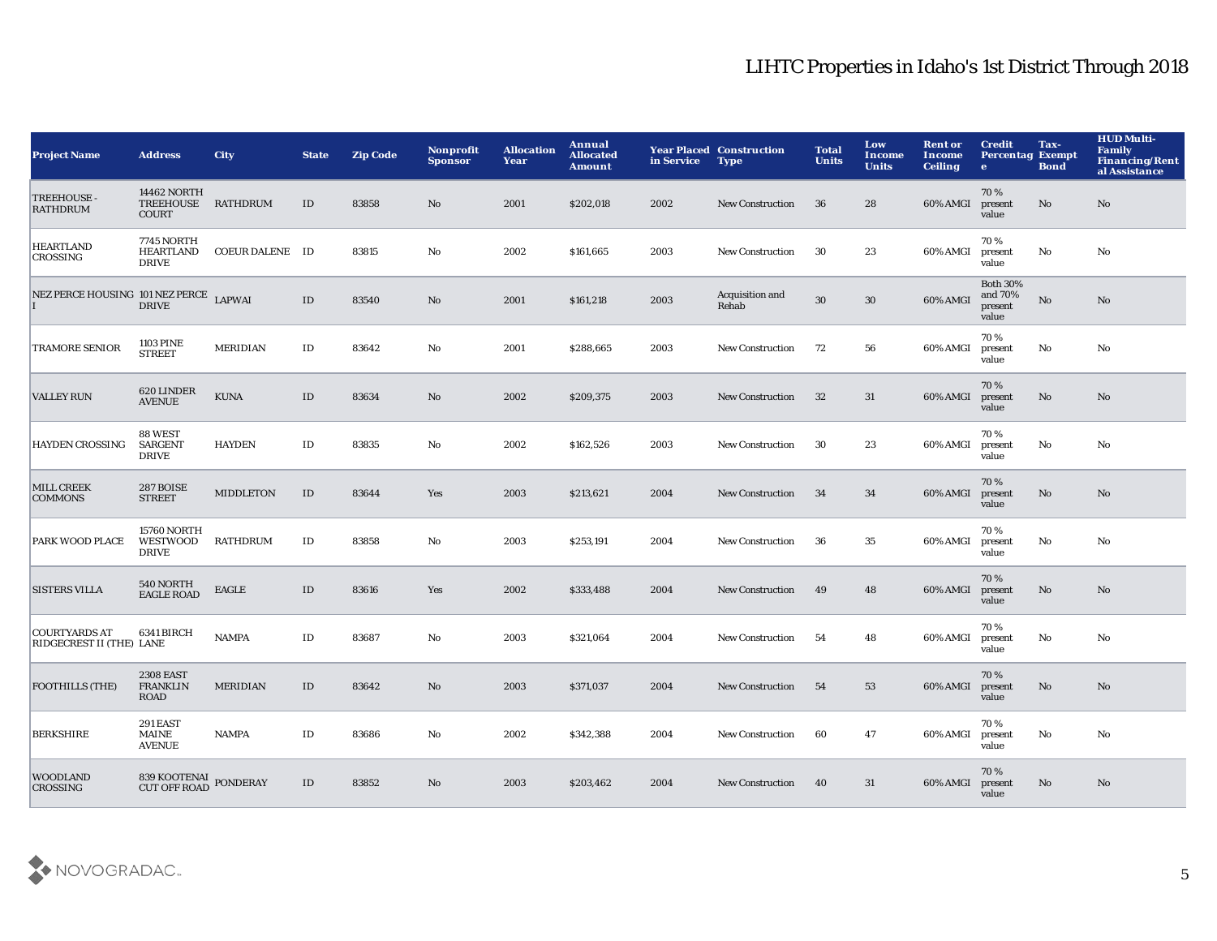| <b>Project Name</b>                              | <b>Address</b>                                         | <b>City</b>      | <b>State</b>  | <b>Zip Code</b> | Nonprofit<br><b>Sponsor</b> | <b>Allocation</b><br>Year | Annual<br><b>Allocated</b><br><b>Amount</b> | in Service | <b>Year Placed Construction</b><br><b>Type</b> | <b>Total</b><br><b>Units</b> | Low<br><b>Income</b><br><b>Units</b> | <b>Rent or</b><br>Income<br><b>Ceiling</b> | <b>Credit</b><br><b>Percentag Exempt</b><br>$\mathbf{e}$ | Tax-<br><b>Bond</b>    | <b>HUD Multi-</b><br><b>Family</b><br><b>Financing/Rent</b><br>al Assistance |
|--------------------------------------------------|--------------------------------------------------------|------------------|---------------|-----------------|-----------------------------|---------------------------|---------------------------------------------|------------|------------------------------------------------|------------------------------|--------------------------------------|--------------------------------------------|----------------------------------------------------------|------------------------|------------------------------------------------------------------------------|
| TREEHOUSE -<br><b>RATHDRUM</b>                   | <b>14462 NORTH</b><br><b>TREEHOUSE</b><br><b>COURT</b> | <b>RATHDRUM</b>  | $\mathbf{ID}$ | 83858           | No                          | 2001                      | \$202,018                                   | 2002       | <b>New Construction</b>                        | 36                           | 28                                   | 60% AMGI                                   | 70%<br>present<br>value                                  | $\mathbf{N}\mathbf{o}$ | No                                                                           |
| <b>HEARTLAND</b><br>CROSSING                     | <b>7745 NORTH</b><br>HEARTLAND<br><b>DRIVE</b>         | COEUR DALENE ID  |               | 83815           | $\mathbf{No}$               | 2002                      | \$161,665                                   | 2003       | <b>New Construction</b>                        | 30                           | 23                                   | 60% AMGI                                   | 70%<br>present<br>value                                  | No                     | No                                                                           |
| NEZ PERCE HOUSING 101 NEZ PERCE LAPWAI           | <b>DRIVE</b>                                           |                  | $\rm ID$      | 83540           | $\mathbf{N}\mathbf{o}$      | 2001                      | \$161,218                                   | 2003       | Acquisition and<br>Rehab                       | 30                           | $30\,$                               | 60% AMGI                                   | <b>Both 30%</b><br>and 70%<br>present<br>value           | $\rm No$               | $\mathbf{N}\mathbf{o}$                                                       |
| <b>TRAMORE SENIOR</b>                            | <b>1103 PINE</b><br><b>STREET</b>                      | <b>MERIDIAN</b>  | ID            | 83642           | $\mathbf{No}$               | 2001                      | \$288,665                                   | 2003       | <b>New Construction</b>                        | 72                           | 56                                   | 60% AMGI                                   | 70%<br>present<br>value                                  | No                     | No                                                                           |
| <b>VALLEY RUN</b>                                | 620 LINDER<br><b>AVENUE</b>                            | <b>KUNA</b>      | ID            | 83634           | $\mathbf{No}$               | 2002                      | \$209,375                                   | 2003       | <b>New Construction</b>                        | 32                           | 31                                   | 60% AMGI                                   | 70%<br>present<br>value                                  | No                     | No                                                                           |
| <b>HAYDEN CROSSING</b>                           | 88 WEST<br><b>SARGENT</b><br><b>DRIVE</b>              | <b>HAYDEN</b>    | $\rm ID$      | 83835           | No                          | 2002                      | \$162,526                                   | 2003       | <b>New Construction</b>                        | 30                           | 23                                   | 60% AMGI                                   | 70%<br>present<br>value                                  | No                     | No                                                                           |
| <b>MILL CREEK</b><br><b>COMMONS</b>              | <b>287 BOISE</b><br><b>STREET</b>                      | <b>MIDDLETON</b> | $\rm ID$      | 83644           | Yes                         | 2003                      | \$213,621                                   | 2004       | <b>New Construction</b>                        | 34                           | 34                                   | 60% AMGI                                   | 70%<br>present<br>value                                  | $\mathbf{N}\mathbf{o}$ | $\mathbf{N}\mathbf{o}$                                                       |
| PARK WOOD PLACE                                  | <b>15760 NORTH</b><br>WESTWOOD<br><b>DRIVE</b>         | <b>RATHDRUM</b>  | ID            | 83858           | No                          | 2003                      | \$253,191                                   | 2004       | <b>New Construction</b>                        | 36                           | 35                                   | 60% AMGI                                   | 70%<br>present<br>value                                  | No                     | No                                                                           |
| <b>SISTERS VILLA</b>                             | 540 NORTH<br><b>EAGLE ROAD</b>                         | <b>EAGLE</b>     | ID            | 83616           | <b>Yes</b>                  | 2002                      | \$333,488                                   | 2004       | <b>New Construction</b>                        | 49                           | 48                                   | 60% AMGI                                   | 70%<br>present<br>value                                  | No                     | No.                                                                          |
| <b>COURTYARDS AT</b><br>RIDGECREST II (THE) LANE | 6341 BIRCH                                             | <b>NAMPA</b>     | $\rm ID$      | 83687           | No                          | 2003                      | \$321,064                                   | 2004       | <b>New Construction</b>                        | 54                           | 48                                   | 60% AMGI                                   | 70%<br>present<br>value                                  | $\rm No$               | No                                                                           |
| <b>FOOTHILLS (THE)</b>                           | <b>2308 EAST</b><br><b>FRANKLIN</b><br><b>ROAD</b>     | <b>MERIDIAN</b>  | $\rm ID$      | 83642           | $\mathbf{N}\mathbf{o}$      | 2003                      | \$371,037                                   | 2004       | <b>New Construction</b>                        | 54                           | 53                                   | 60% AMGI                                   | 70%<br>present<br>value                                  | $\mathbf{N}\mathbf{o}$ | No                                                                           |
| <b>BERKSHIRE</b>                                 | 291 EAST<br>MAINE<br><b>AVENUE</b>                     | <b>NAMPA</b>     | ID            | 83686           | $\mathbf{No}$               | 2002                      | \$342,388                                   | 2004       | <b>New Construction</b>                        | 60                           | 47                                   | 60% AMGI                                   | 70%<br>present<br>value                                  | No                     | No                                                                           |
| <b>WOODLAND</b><br><b>CROSSING</b>               | 839 KOOTENAI<br>CUT OFF ROAD                           | <b>PONDERAY</b>  | ID            | 83852           | No.                         | 2003                      | \$203,462                                   | 2004       | <b>New Construction</b>                        | 40                           | 31                                   | 60% AMGI                                   | 70%<br>present<br>value                                  | No                     | $\mathbf{N}\mathbf{o}$                                                       |

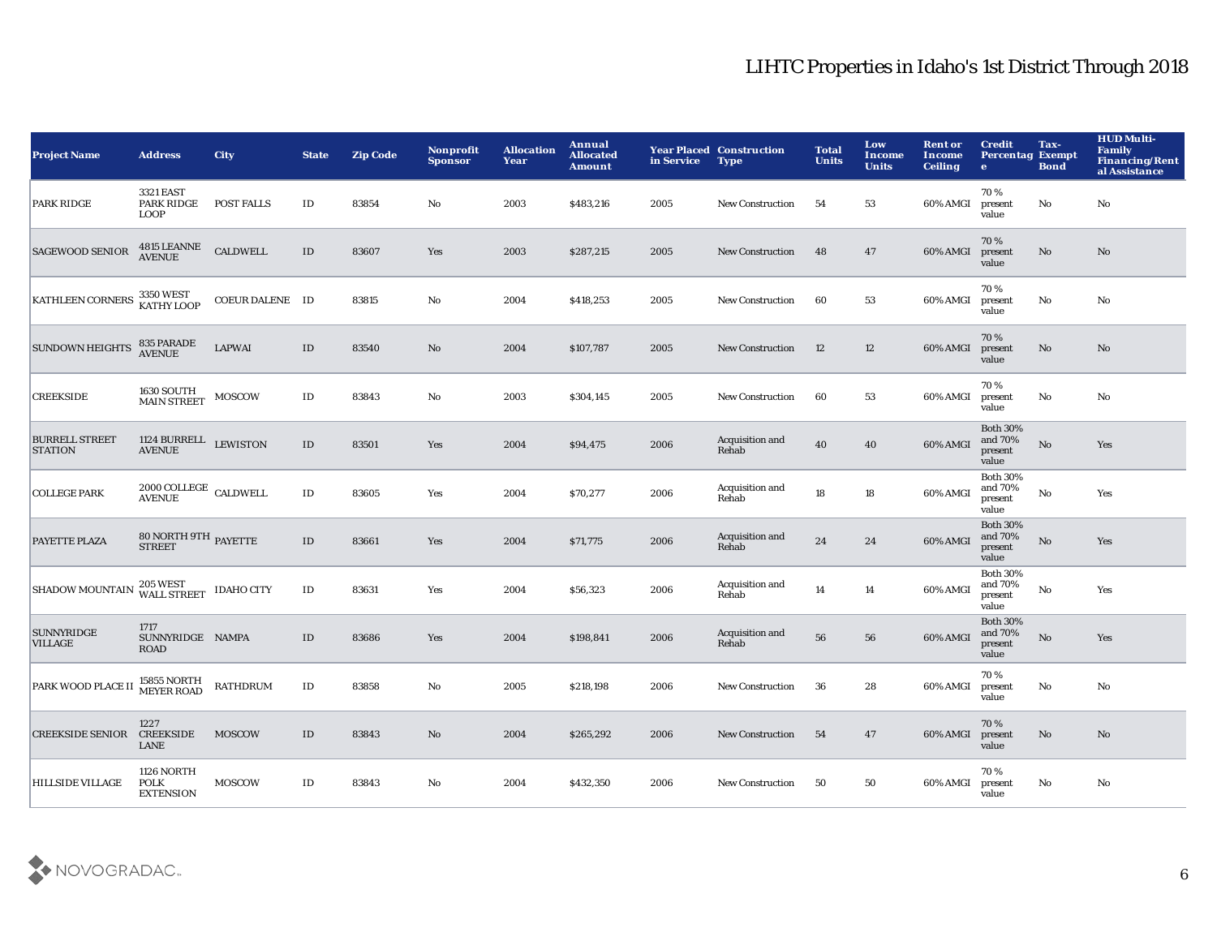| <b>Project Name</b>                     | <b>Address</b>                                | City            | <b>State</b>  | <b>Zip Code</b> | Nonprofit<br><b>Sponsor</b> | <b>Allocation</b><br>Year | Annual<br><b>Allocated</b><br><b>Amount</b> | in Service | <b>Year Placed Construction</b><br><b>Type</b> | <b>Total</b><br><b>Units</b> | Low<br><b>Income</b><br><b>Units</b> | <b>Rent or</b><br>Income<br><b>Ceiling</b> | <b>Credit</b><br><b>Percentag Exempt</b><br>$\bullet$ | Tax-<br><b>Bond</b>    | <b>HUD Multi-</b><br><b>Family</b><br><b>Financing/Rent</b><br>al Assistance |
|-----------------------------------------|-----------------------------------------------|-----------------|---------------|-----------------|-----------------------------|---------------------------|---------------------------------------------|------------|------------------------------------------------|------------------------------|--------------------------------------|--------------------------------------------|-------------------------------------------------------|------------------------|------------------------------------------------------------------------------|
| <b>PARK RIDGE</b>                       | 3321 EAST<br>PARK RIDGE<br><b>LOOP</b>        | POST FALLS      | $\rm ID$      | 83854           | No                          | 2003                      | \$483,216                                   | 2005       | <b>New Construction</b>                        | 54                           | 53                                   | 60% AMGI                                   | 70%<br>present<br>value                               | No                     | No                                                                           |
| <b>SAGEWOOD SENIOR</b>                  | 4815 LEANNE<br>AVENUE                         | <b>CALDWELL</b> | $\mathbf{ID}$ | 83607           | Yes                         | 2003                      | \$287,215                                   | 2005       | <b>New Construction</b>                        | 48                           | 47                                   | 60% AMGI                                   | 70%<br>present<br>value                               | $\mathbf{N}\mathbf{o}$ | No                                                                           |
| <b>KATHLEEN CORNERS</b>                 | 3350 WEST<br>KATHY LOOP                       | COEUR DALENE ID |               | 83815           | $\mathbf {No}$              | 2004                      | \$418,253                                   | 2005       | <b>New Construction</b>                        | 60                           | 53                                   | 60% AMGI                                   | 70%<br>present<br>value                               | $\mathbf {No}$         | No                                                                           |
| <b>SUNDOWN HEIGHTS</b>                  | 835 PARADE<br><b>AVENUE</b>                   | <b>LAPWAI</b>   | ID            | 83540           | $\mathbf{No}$               | 2004                      | \$107,787                                   | 2005       | <b>New Construction</b>                        | 12                           | 12                                   | 60% AMGI                                   | 70%<br>present<br>value                               | $\mathbf{N}\mathbf{o}$ | No                                                                           |
| <b>CREEKSIDE</b>                        | <b>1630 SOUTH</b><br><b>MAIN STREET</b>       | <b>MOSCOW</b>   | $\rm ID$      | 83843           | $\mathbf{No}$               | 2003                      | \$304,145                                   | 2005       | <b>New Construction</b>                        | 60                           | 53                                   | 60% AMGI                                   | 70%<br>present<br>value                               | $\mathbf{No}$          | No                                                                           |
| <b>BURRELL STREET</b><br><b>STATION</b> | 1124 BURRELL LEWISTON<br><b>AVENUE</b>        |                 | ID            | 83501           | Yes                         | 2004                      | \$94,475                                    | 2006       | Acquisition and<br>Rehab                       | 40                           | 40                                   | 60% AMGI                                   | <b>Both 30%</b><br>and 70%<br>present<br>value        | No                     | Yes                                                                          |
| <b>COLLEGE PARK</b>                     | $2000$ COLLEGE $\,$ CALDWELL<br><b>AVENUE</b> |                 | ID            | 83605           | Yes                         | 2004                      | \$70,277                                    | 2006       | Acquisition and<br>Rehab                       | 18                           | 18                                   | 60% AMGI                                   | <b>Both 30%</b><br>and 70%<br>present<br>value        | No                     | Yes                                                                          |
| PAYETTE PLAZA                           | $80$ NORTH $9\mathrm{TH}$ PAYETTE STREET      |                 | $\rm ID$      | 83661           | Yes                         | 2004                      | \$71,775                                    | 2006       | Acquisition and<br>Rehab                       | 24                           | 24                                   | 60% AMGI                                   | <b>Both 30%</b><br>and 70%<br>present<br>value        | $\mathbf{N}\mathbf{o}$ | Yes                                                                          |
| <b>SHADOW MOUNTAIN</b>                  | 205 WEST IDAHO CITY                           |                 | $\rm ID$      | 83631           | Yes                         | 2004                      | \$56,323                                    | 2006       | Acquisition and<br>Rehab                       | 14                           | 14                                   | 60% AMGI                                   | <b>Both 30%</b><br>and 70%<br>present<br>value        | $\mathbf {No}$         | Yes                                                                          |
| <b>SUNNYRIDGE</b><br><b>VILLAGE</b>     | 1717<br>SUNNYRIDGE NAMPA<br><b>ROAD</b>       |                 | $\rm ID$      | 83686           | Yes                         | 2004                      | \$198,841                                   | 2006       | Acquisition and<br>Rehab                       | 56                           | 56                                   | 60% AMGI                                   | <b>Both 30%</b><br>and 70%<br>present<br>value        | $\mathbf {No}$         | Yes                                                                          |
| PARK WOOD PLACE II                      | 15855 NORTH<br>MEYER ROAD                     | <b>RATHDRUM</b> | $\rm ID$      | 83858           | $\mathbf{No}$               | 2005                      | \$218,198                                   | 2006       | <b>New Construction</b>                        | 36                           | 28                                   | 60% AMGI                                   | 70%<br>present<br>value                               | No                     | No                                                                           |
| <b>CREEKSIDE SENIOR</b>                 | 1227<br><b>CREEKSIDE</b><br><b>LANE</b>       | <b>MOSCOW</b>   | ID            | 83843           | No                          | 2004                      | \$265,292                                   | 2006       | <b>New Construction</b>                        | 54                           | 47                                   | 60% AMGI                                   | 70%<br>present<br>value                               | $\mathbf{No}$          | No                                                                           |
| <b>HILLSIDE VILLAGE</b>                 | 1126 NORTH<br><b>POLK</b><br><b>EXTENSION</b> | <b>MOSCOW</b>   | $\rm ID$      | 83843           | No                          | 2004                      | \$432,350                                   | 2006       | <b>New Construction</b>                        | 50                           | 50                                   | 60% AMGI                                   | 70%<br>present<br>value                               | No                     | No                                                                           |

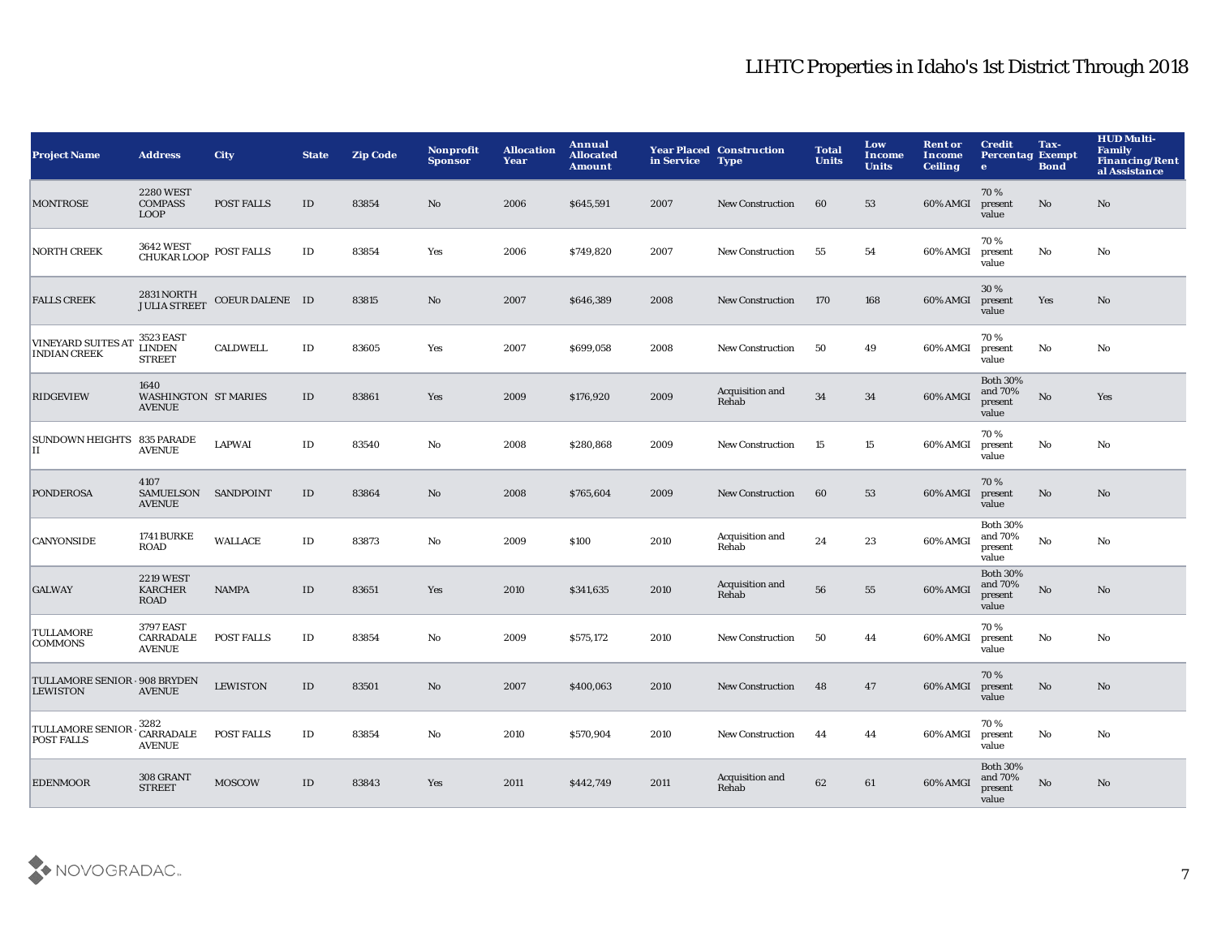| <b>Project Name</b>                              | <b>Address</b>                                       | <b>City</b>       | <b>State</b>  | <b>Zip Code</b> | Nonprofit<br><b>Sponsor</b> | <b>Allocation</b><br>Year | Annual<br><b>Allocated</b><br><b>Amount</b> | in Service | <b>Year Placed Construction</b><br><b>Type</b> | <b>Total</b><br><b>Units</b> | Low<br>Income<br><b>Units</b> | <b>Rent or</b><br>Income<br><b>Ceiling</b> | <b>Credit</b><br><b>Percentag Exempt</b><br>$\bullet$ | Tax-<br><b>Bond</b> | <b>HUD Multi-</b><br><b>Family</b><br><b>Financing/Rent</b><br>al Assistance |
|--------------------------------------------------|------------------------------------------------------|-------------------|---------------|-----------------|-----------------------------|---------------------------|---------------------------------------------|------------|------------------------------------------------|------------------------------|-------------------------------|--------------------------------------------|-------------------------------------------------------|---------------------|------------------------------------------------------------------------------|
| <b>MONTROSE</b>                                  | <b>2280 WEST</b><br><b>COMPASS</b><br><b>LOOP</b>    | <b>POST FALLS</b> | ID            | 83854           | No                          | 2006                      | \$645,591                                   | 2007       | <b>New Construction</b>                        | 60                           | 53                            | 60% AMGI                                   | 70%<br>present<br>value                               | No                  | No                                                                           |
| <b>NORTH CREEK</b>                               | 3642 WEST<br>CHUKAR LOOP                             | <b>POST FALLS</b> | $\mathbf{ID}$ | 83854           | Yes                         | 2006                      | \$749,820                                   | 2007       | <b>New Construction</b>                        | 55                           | 54                            | 60% AMGI                                   | 70%<br>present<br>value                               | No                  | No                                                                           |
| <b>FALLS CREEK</b>                               | 2831 NORTH<br>JULIA STREET                           | COEUR DALENE ID   |               | 83815           | $\mathbf{N}\mathbf{o}$      | 2007                      | \$646,389                                   | 2008       | <b>New Construction</b>                        | 170                          | 168                           | 60% AMGI                                   | 30 %<br>present<br>value                              | Yes                 | No                                                                           |
| <b>VINEYARD SUITES AT</b><br><b>INDIAN CREEK</b> | 3523 EAST<br><b>LINDEN</b><br><b>STREET</b>          | <b>CALDWELL</b>   | $\mathbf{ID}$ | 83605           | Yes                         | 2007                      | \$699,058                                   | 2008       | <b>New Construction</b>                        | 50                           | 49                            | 60% AMGI                                   | 70%<br>present<br>value                               | No                  | No                                                                           |
| <b>RIDGEVIEW</b>                                 | 1640<br><b>WASHINGTON ST MARIES</b><br><b>AVENUE</b> |                   | $\rm ID$      | 83861           | Yes                         | 2009                      | \$176,920                                   | 2009       | Acquisition and<br>Rehab                       | 34                           | $34\,$                        | 60% AMGI                                   | <b>Both 30%</b><br>and 70%<br>present<br>value        | $\rm No$            | Yes                                                                          |
| SUNDOWN HEIGHTS 835 PARADE<br>П                  | <b>AVENUE</b>                                        | <b>LAPWAI</b>     | $\rm ID$      | 83540           | No                          | 2008                      | \$280,868                                   | 2009       | <b>New Construction</b>                        | 15                           | 15                            | 60% AMGI                                   | 70%<br>present<br>value                               | No                  | No                                                                           |
| <b>PONDEROSA</b>                                 | 4107<br>SAMUELSON SANDPOINT<br><b>AVENUE</b>         |                   | $\rm ID$      | 83864           | No                          | 2008                      | \$765,604                                   | 2009       | <b>New Construction</b>                        | 60                           | 53                            | 60% AMGI                                   | 70%<br>present<br>value                               | No                  | $\mathbf{N}\mathbf{o}$                                                       |
| CANYONSIDE                                       | <b>1741 BURKE</b><br><b>ROAD</b>                     | <b>WALLACE</b>    | $\rm ID$      | 83873           | No                          | 2009                      | \$100                                       | 2010       | Acquisition and<br>Rehab                       | 24                           | 23                            | 60% AMGI                                   | <b>Both 30%</b><br>and 70%<br>present<br>value        | No                  | No                                                                           |
| <b>GALWAY</b>                                    | <b>2219 WEST</b><br><b>KARCHER</b><br><b>ROAD</b>    | <b>NAMPA</b>      | ID            | 83651           | Yes                         | 2010                      | \$341,635                                   | 2010       | Acquisition and<br>Rehab                       | 56                           | 55                            | 60% AMGI                                   | <b>Both 30%</b><br>and 70%<br>present<br>value        | No                  | $\mathbf{N}\mathbf{o}$                                                       |
| <b>TULLAMORE</b><br><b>COMMONS</b>               | <b>3797 EAST</b><br>CARRADALE<br><b>AVENUE</b>       | <b>POST FALLS</b> | $\rm ID$      | 83854           | No                          | 2009                      | \$575,172                                   | 2010       | <b>New Construction</b>                        | 50                           | 44                            | 60% AMGI                                   | 70%<br>present<br>value                               | No                  | No                                                                           |
| TULLAMORE SENIOR - 908 BRYDEN<br><b>LEWISTON</b> | <b>AVENUE</b>                                        | <b>LEWISTON</b>   | ID            | 83501           | No                          | 2007                      | \$400,063                                   | 2010       | <b>New Construction</b>                        | 48                           | 47                            | 60% AMGI                                   | 70%<br>present<br>value                               | No                  | No                                                                           |
| TULLAMORE SENIOR<br><b>POST FALLS</b>            | 3282<br>CARRADALE<br><b>AVENUE</b>                   | <b>POST FALLS</b> | ID            | 83854           | No                          | 2010                      | \$570,904                                   | 2010       | <b>New Construction</b>                        | -44                          | 44                            | 60% AMGI                                   | 70%<br>present<br>value                               | No                  | No                                                                           |
| <b>EDENMOOR</b>                                  | 308 GRANT<br><b>STREET</b>                           | <b>MOSCOW</b>     | ID            | 83843           | Yes                         | 2011                      | \$442,749                                   | 2011       | Acquisition and<br>Rehab                       | 62                           | 61                            | 60% AMGI                                   | <b>Both 30%</b><br>and 70%<br>present<br>value        | No                  | No                                                                           |

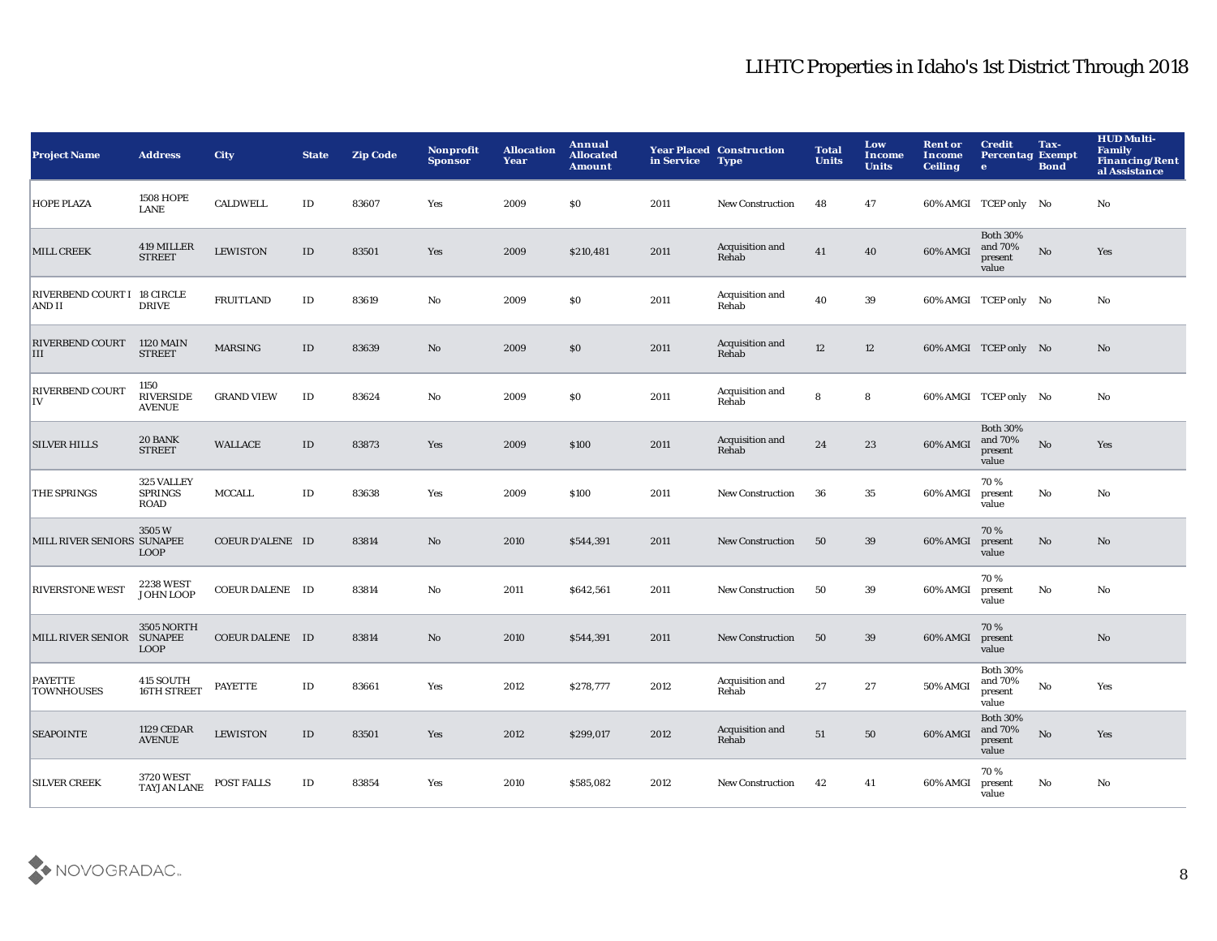| <b>Project Name</b>                   | <b>Address</b>                              | <b>City</b>            | <b>State</b> | <b>Zip Code</b> | Nonprofit<br><b>Sponsor</b> | <b>Allocation</b><br>Year | Annual<br><b>Allocated</b><br><b>Amount</b> | in Service | <b>Year Placed Construction</b><br><b>Type</b> | <b>Total</b><br><b>Units</b> | Low<br>Income<br><b>Units</b> | <b>Rent or</b><br>Income<br><b>Ceiling</b> | <b>Credit</b><br><b>Percentag Exempt</b><br>$\bullet$ | Tax-<br><b>Bond</b> | <b>HUD Multi-</b><br><b>Family</b><br><b>Financing/Rent</b><br>al Assistance |
|---------------------------------------|---------------------------------------------|------------------------|--------------|-----------------|-----------------------------|---------------------------|---------------------------------------------|------------|------------------------------------------------|------------------------------|-------------------------------|--------------------------------------------|-------------------------------------------------------|---------------------|------------------------------------------------------------------------------|
| <b>HOPE PLAZA</b>                     | <b>1508 HOPE</b><br><b>LANE</b>             | <b>CALDWELL</b>        | ID           | 83607           | Yes                         | 2009                      | \$0                                         | 2011       | <b>New Construction</b>                        | 48                           | 47                            |                                            | 60% AMGI TCEP only No                                 |                     | No                                                                           |
| MILL CREEK                            | 419 MILLER<br><b>STREET</b>                 | <b>LEWISTON</b>        | $\rm ID$     | 83501           | Yes                         | 2009                      | \$210,481                                   | 2011       | Acquisition and<br>Rehab                       | 41                           | 40                            | 60% AMGI                                   | <b>Both 30%</b><br>and 70%<br>present<br>value        | $\mathbf {No}$      | Yes                                                                          |
| RIVERBEND COURT I 18 CIRCLE<br>AND II | <b>DRIVE</b>                                | <b>FRUITLAND</b>       | $\rm ID$     | 83619           | No                          | 2009                      | <b>SO</b>                                   | 2011       | Acquisition and<br>Rehab                       | 40                           | 39                            |                                            | 60% AMGI TCEP only No                                 |                     | No                                                                           |
| RIVERBEND COURT 1120 MAIN<br>III      | <b>STREET</b>                               | <b>MARSING</b>         | ID           | 83639           | $\mathbf{N}\mathbf{o}$      | 2009                      | $\$0$                                       | 2011       | Acquisition and<br>Rehab                       | 12                           | 12                            |                                            | 60% AMGI TCEP only No                                 |                     | $\mathbf{No}$                                                                |
| <b>RIVERBEND COURT</b><br>IV          | 1150<br><b>RIVERSIDE</b><br><b>AVENUE</b>   | <b>GRAND VIEW</b>      | $\rm ID$     | 83624           | No                          | 2009                      | \$0                                         | 2011       | Acquisition and<br>Rehab                       | 8                            | 8                             |                                            | 60% AMGI TCEP only No                                 |                     | No                                                                           |
| <b>SILVER HILLS</b>                   | 20 BANK<br><b>STREET</b>                    | WALLACE                | $\rm ID$     | 83873           | Yes                         | 2009                      | \$100                                       | 2011       | Acquisition and<br>Rehab                       | 24                           | 23                            | 60% AMGI                                   | <b>Both 30%</b><br>and 70%<br>present<br>value        | $\rm No$            | Yes                                                                          |
| <b>THE SPRINGS</b>                    | 325 VALLEY<br><b>SPRINGS</b><br>ROAD        | <b>MCCALL</b>          | $\rm ID$     | 83638           | Yes                         | 2009                      | \$100                                       | 2011       | <b>New Construction</b>                        | 36                           | 35                            | 60% AMGI                                   | 70%<br>present<br>value                               | $\mathbf{No}$       | No                                                                           |
| MILL RIVER SENIORS SUNAPEE            | 3505 W<br><b>LOOP</b>                       | COEUR D'ALENE ID       |              | 83814           | No                          | 2010                      | \$544,391                                   | 2011       | <b>New Construction</b>                        | 50                           | 39                            | 60% AMGI                                   | 70%<br>present<br>value                               | No                  | No                                                                           |
| <b>RIVERSTONE WEST</b>                | <b>2238 WEST</b><br>JOHN LOOP               | <b>COEUR DALENE ID</b> |              | 83814           | No                          | 2011                      | \$642,561                                   | 2011       | <b>New Construction</b>                        | 50                           | 39                            | 60% AMGI                                   | 70%<br>present<br>value                               | $\mathbf{No}$       | No                                                                           |
| <b>MILL RIVER SENIOR</b>              | 3505 NORTH<br><b>SUNAPEE</b><br><b>LOOP</b> | <b>COEUR DALENE ID</b> |              | 83814           | $\rm\thinspace No$          | 2010                      | \$544,391                                   | 2011       | <b>New Construction</b>                        | 50                           | $39\,$                        | 60% AMGI                                   | 70%<br>present<br>value                               |                     | $\mathbf{N}\mathbf{o}$                                                       |
| <b>PAYETTE</b><br><b>TOWNHOUSES</b>   | 415 SOUTH<br>16TH STREET                    | <b>PAYETTE</b>         | ID           | 83661           | Yes                         | 2012                      | \$278,777                                   | 2012       | Acquisition and<br>Rehab                       | 27                           | 27                            | 50% AMGI                                   | <b>Both 30%</b><br>and 70%<br>present<br>value        | $_{\rm No}$         | Yes                                                                          |
| <b>SEAPOINTE</b>                      | <b>1129 CEDAR</b><br><b>AVENUE</b>          | <b>LEWISTON</b>        | ID           | 83501           | Yes                         | 2012                      | \$299,017                                   | 2012       | Acquisition and<br>Rehab                       | 51                           | 50                            | 60% AMGI                                   | <b>Both 30%</b><br>and 70%<br>present<br>value        | No                  | Yes                                                                          |
| <b>SILVER CREEK</b>                   | 3720 WEST<br><b>TAYJAN LANE</b>             | POST FALLS             | ID           | 83854           | Yes                         | 2010                      | \$585,082                                   | 2012       | <b>New Construction</b>                        | 42                           | 41                            | 60% AMGI                                   | 70%<br>present<br>value                               | No                  | No                                                                           |

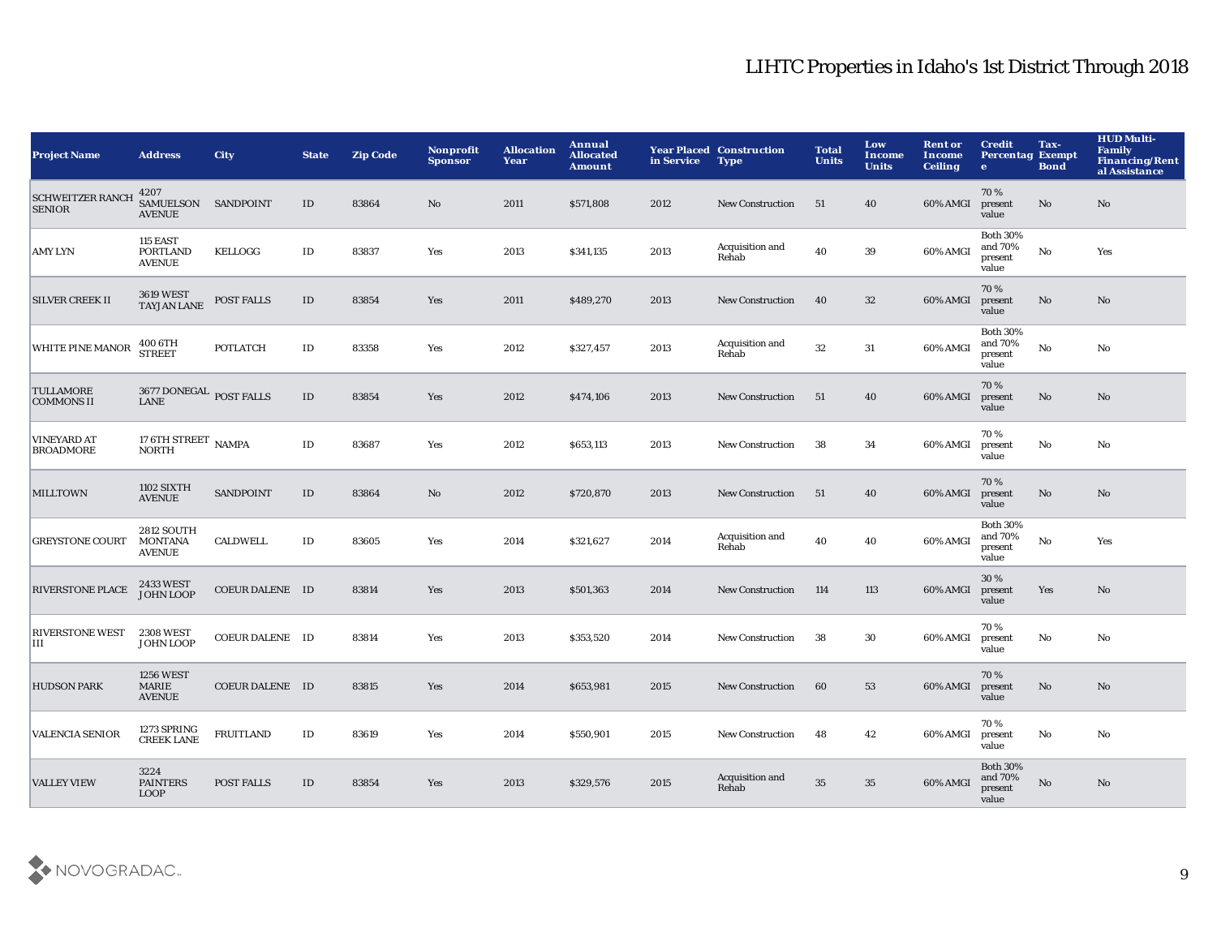| <b>Project Name</b>                      | <b>Address</b>                                       | <b>City</b>            | <b>State</b>  | <b>Zip Code</b> | Nonprofit<br><b>Sponsor</b> | <b>Allocation</b><br>Year | Annual<br><b>Allocated</b><br><b>Amount</b> | in Service | <b>Year Placed Construction</b><br><b>Type</b> | <b>Total</b><br><b>Units</b> | Low<br>Income<br><b>Units</b> | <b>Rent or</b><br>Income<br><b>Ceiling</b> | <b>Credit</b><br><b>Percentag Exempt</b><br>$\bullet$ | Tax-<br><b>Bond</b> | <b>HUD Multi-</b><br><b>Family</b><br><b>Financing/Rent</b><br>al Assistance |
|------------------------------------------|------------------------------------------------------|------------------------|---------------|-----------------|-----------------------------|---------------------------|---------------------------------------------|------------|------------------------------------------------|------------------------------|-------------------------------|--------------------------------------------|-------------------------------------------------------|---------------------|------------------------------------------------------------------------------|
| <b>SCHWEITZER RANCH</b><br><b>SENIOR</b> | 4207<br>SAMUELSON SANDPOINT<br><b>AVENUE</b>         |                        | ID            | 83864           | No                          | 2011                      | \$571,808                                   | 2012       | <b>New Construction</b>                        | - 51                         | 40                            | 60% AMGI                                   | 70%<br>present<br>value                               | No                  | No                                                                           |
| <b>AMY LYN</b>                           | 115 EAST<br><b>PORTLAND</b><br><b>AVENUE</b>         | KELLOGG                | ID            | 83837           | Yes                         | 2013                      | \$341,135                                   | 2013       | Acquisition and<br>Rehab                       | 40                           | 39                            | 60% AMGI                                   | <b>Both 30%</b><br>and 70%<br>present<br>value        | No                  | Yes                                                                          |
| <b>SILVER CREEK II</b>                   | <b>3619 WEST</b><br><b>TAYJAN LANE</b>               | <b>POST FALLS</b>      | ID            | 83854           | Yes                         | 2011                      | \$489,270                                   | 2013       | <b>New Construction</b>                        | 40                           | 32                            | 60% AMGI                                   | 70%<br>present<br>value                               | No                  | No                                                                           |
| WHITE PINE MANOR                         | 400 6TH<br><b>STREET</b>                             | <b>POTLATCH</b>        | ID            | 83358           | Yes                         | 2012                      | \$327,457                                   | 2013       | Acquisition and<br>Rehab                       | 32                           | 31                            | 60% AMGI                                   | <b>Both 30%</b><br>and 70%<br>present<br>value        | No                  | No                                                                           |
| <b>TULLAMORE</b><br><b>COMMONS II</b>    | 3677 DONEGAL POST FALLS<br><b>LANE</b>               |                        | ID            | 83854           | Yes                         | 2012                      | \$474,106                                   | 2013       | <b>New Construction</b>                        | 51                           | 40                            | 60% AMGI                                   | 70%<br>present<br>value                               | No                  | No                                                                           |
| <b>VINEYARD AT</b><br><b>BROADMORE</b>   | 17 6TH STREET NAMPA<br><b>NORTH</b>                  |                        | ID            | 83687           | Yes                         | 2012                      | \$653,113                                   | 2013       | <b>New Construction</b>                        | 38                           | 34                            | 60% AMGI                                   | 70%<br>present<br>value                               | No                  | No                                                                           |
| <b>MILLTOWN</b>                          | <b>1102 SIXTH</b><br><b>AVENUE</b>                   | <b>SANDPOINT</b>       | ID            | 83864           | No                          | 2012                      | \$720,870                                   | 2013       | <b>New Construction</b>                        | 51                           | 40                            | 60% AMGI                                   | 70%<br>present<br>value                               | No                  | No                                                                           |
| <b>GREYSTONE COURT</b>                   | <b>2812 SOUTH</b><br><b>MONTANA</b><br><b>AVENUE</b> | <b>CALDWELL</b>        | $\mathbf{ID}$ | 83605           | Yes                         | 2014                      | \$321,627                                   | 2014       | Acquisition and<br>Rehab                       | 40                           | 40                            | 60% AMGI                                   | <b>Both 30%</b><br>and 70%<br>present<br>value        | No                  | Yes                                                                          |
| <b>RIVERSTONE PLACE</b>                  | 2433 WEST<br>JOHN LOOP                               | <b>COEUR DALENE ID</b> |               | 83814           | Yes                         | 2013                      | \$501,363                                   | 2014       | <b>New Construction</b>                        | 114                          | 113                           | 60% AMGI                                   | 30 %<br>present<br>value                              | Yes                 | No                                                                           |
| <b>RIVERSTONE WEST</b><br>Ш              | <b>2308 WEST</b><br>JOHN LOOP                        | <b>COEUR DALENE ID</b> |               | 83814           | Yes                         | 2013                      | \$353,520                                   | 2014       | <b>New Construction</b>                        | 38                           | 30                            | 60% AMGI                                   | 70%<br>present<br>value                               | No                  | No                                                                           |
| <b>HUDSON PARK</b>                       | <b>1256 WEST</b><br><b>MARIE</b><br><b>AVENUE</b>    | <b>COEUR DALENE ID</b> |               | 83815           | Yes                         | 2014                      | \$653,981                                   | 2015       | <b>New Construction</b>                        | 60                           | 53                            | 60% AMGI                                   | 70%<br>present<br>value                               | No                  | No                                                                           |
| <b>VALENCIA SENIOR</b>                   | 1273 SPRING<br><b>CREEK LANE</b>                     | <b>FRUITLAND</b>       | ID            | 83619           | Yes                         | 2014                      | \$550,901                                   | 2015       | <b>New Construction</b>                        | 48                           | 42                            | 60% AMGI                                   | 70%<br>present<br>value                               | No                  | No                                                                           |
| <b>VALLEY VIEW</b>                       | 3224<br><b>PAINTERS</b><br><b>LOOP</b>               | <b>POST FALLS</b>      | ID            | 83854           | Yes                         | 2013                      | \$329,576                                   | 2015       | Acquisition and<br>Rehab                       | 35                           | $35\,$                        | 60% AMGI                                   | <b>Both 30%</b><br>and 70%<br>present<br>value        | No                  | No                                                                           |

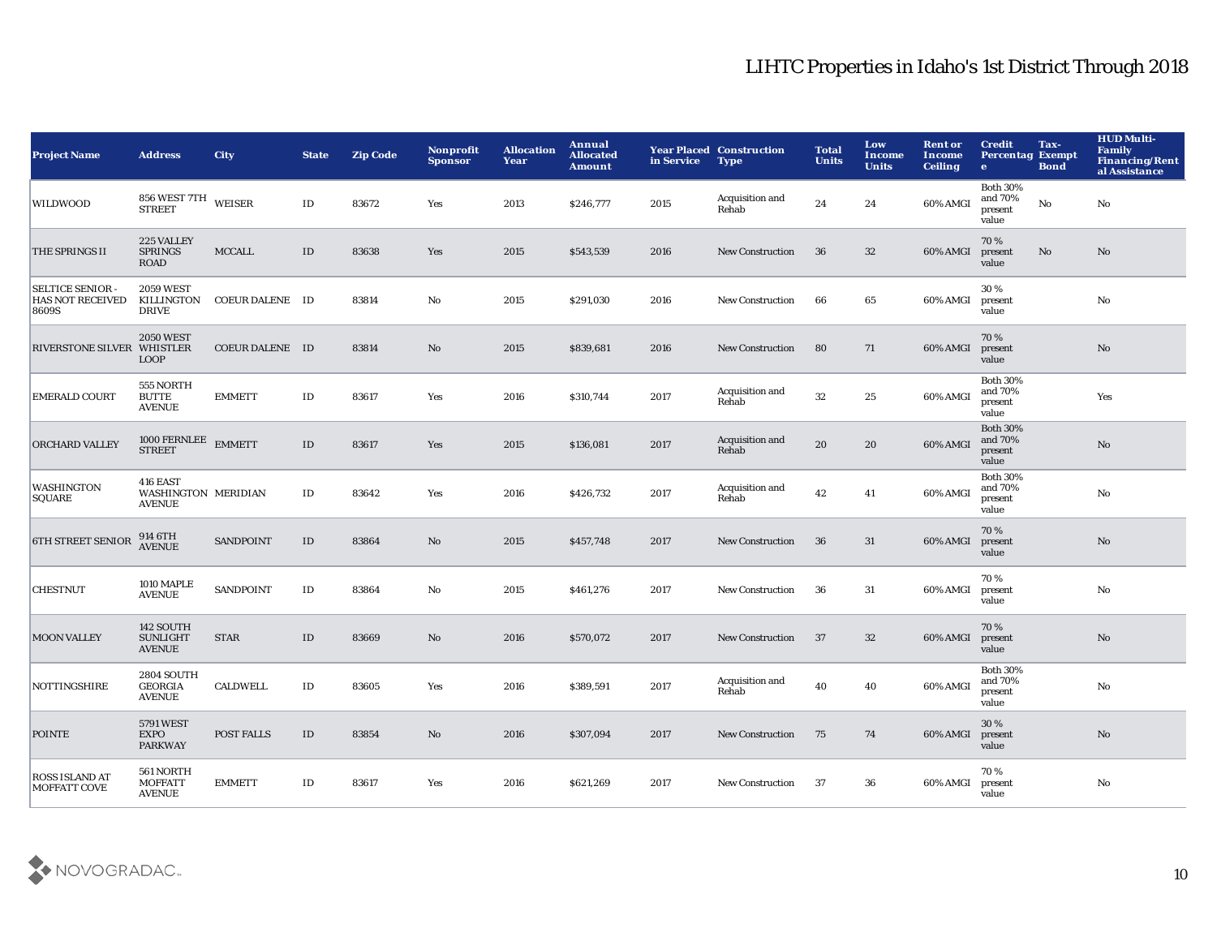| <b>Project Name</b>                                         | <b>Address</b>                                       | <b>City</b>            | <b>State</b> | <b>Zip Code</b> | <b>Nonprofit</b><br><b>Sponsor</b> | <b>Allocation</b><br>Year | Annual<br><b>Allocated</b><br><b>Amount</b> | in Service | <b>Year Placed Construction</b><br><b>Type</b> | <b>Total</b><br><b>Units</b> | Low<br>Income<br><b>Units</b> | <b>Rent or</b><br>Income<br><b>Ceiling</b> | <b>Credit</b><br><b>Percentag Exempt</b><br>$\bullet$ | Tax-<br><b>Bond</b>    | <b>HUD Multi-</b><br>Family<br><b>Financing/Rent</b><br>al Assistance |
|-------------------------------------------------------------|------------------------------------------------------|------------------------|--------------|-----------------|------------------------------------|---------------------------|---------------------------------------------|------------|------------------------------------------------|------------------------------|-------------------------------|--------------------------------------------|-------------------------------------------------------|------------------------|-----------------------------------------------------------------------|
| WILDWOOD                                                    | 856 WEST 7TH WEISER<br><b>STREET</b>                 |                        | ID           | 83672           | Yes                                | 2013                      | \$246,777                                   | 2015       | Acquisition and<br>Rehab                       | 24                           | 24                            | 60% AMGI                                   | <b>Both 30%</b><br>and 70%<br>present<br>value        | $\mathbf{No}$          | No                                                                    |
| THE SPRINGS II                                              | 225 VALLEY<br><b>SPRINGS</b><br><b>ROAD</b>          | <b>MCCALL</b>          | $\rm ID$     | 83638           | Yes                                | 2015                      | \$543,539                                   | 2016       | <b>New Construction</b>                        | 36                           | 32                            | 60% AMGI                                   | 70%<br>present<br>value                               | $\mathbf{N}\mathbf{o}$ | No                                                                    |
| <b>SELTICE SENIOR -</b><br><b>HAS NOT RECEIVED</b><br>8609S | <b>2059 WEST</b><br>KILLINGTON<br><b>DRIVE</b>       | COEUR DALENE ID        |              | 83814           | No                                 | 2015                      | \$291,030                                   | 2016       | <b>New Construction</b>                        | 66                           | 65                            | 60% AMGI                                   | 30%<br>present<br>value                               |                        | No                                                                    |
| RIVERSTONE SILVER WHISTLER                                  | <b>2050 WEST</b><br><b>LOOP</b>                      | <b>COEUR DALENE ID</b> |              | 83814           | No                                 | 2015                      | \$839,681                                   | 2016       | <b>New Construction</b>                        | 80                           | 71                            | 60% AMGI                                   | 70%<br>present<br>value                               |                        | No                                                                    |
| <b>EMERALD COURT</b>                                        | 555 NORTH<br><b>BUTTE</b><br><b>AVENUE</b>           | <b>EMMETT</b>          | $\rm ID$     | 83617           | Yes                                | 2016                      | \$310,744                                   | 2017       | Acquisition and<br>Rehab                       | 32                           | 25                            | 60% AMGI                                   | <b>Both 30%</b><br>and 70%<br>present<br>value        |                        | Yes                                                                   |
| ORCHARD VALLEY                                              | $1000\,{\rm FERNLEE}$ EMMETT STREET                  |                        | ID           | 83617           | <b>Yes</b>                         | 2015                      | \$136,081                                   | 2017       | Acquisition and<br>Rehab                       | 20                           | 20                            | 60% AMGI                                   | <b>Both 30%</b><br>and 70%<br>present<br>value        |                        | No                                                                    |
| WASHINGTON<br>SQUARE                                        | 416 EAST<br>WASHINGTON MERIDIAN<br><b>AVENUE</b>     |                        | ID           | 83642           | Yes                                | 2016                      | \$426,732                                   | 2017       | Acquisition and<br>Rehab                       | $\bf 42$                     | 41                            | 60% AMGI                                   | <b>Both 30%</b><br>and 70%<br>present<br>value        |                        | No                                                                    |
| <b>6TH STREET SENIOR</b>                                    | 914 6TH<br>AVENUE                                    | <b>SANDPOINT</b>       | $\rm ID$     | 83864           | $\mathbf{No}$                      | 2015                      | \$457,748                                   | 2017       | New Construction                               | 36                           | 31                            | 60% AMGI                                   | 70%<br>present<br>value                               |                        | No                                                                    |
| <b>CHESTNUT</b>                                             | 1010 MAPLE<br><b>AVENUE</b>                          | <b>SANDPOINT</b>       | $\rm ID$     | 83864           | No                                 | 2015                      | \$461,276                                   | 2017       | <b>New Construction</b>                        | 36                           | 31                            | 60% AMGI                                   | 70%<br>present<br>value                               |                        | No                                                                    |
| <b>MOON VALLEY</b>                                          | 142 SOUTH<br><b>SUNLIGHT</b><br><b>AVENUE</b>        | <b>STAR</b>            | ID           | 83669           | No                                 | 2016                      | \$570,072                                   | 2017       | <b>New Construction</b>                        | 37                           | 32                            | 60% AMGI                                   | 70%<br>present<br>value                               |                        | No                                                                    |
| <b>NOTTINGSHIRE</b>                                         | <b>2804 SOUTH</b><br><b>GEORGIA</b><br><b>AVENUE</b> | <b>CALDWELL</b>        | $\rm ID$     | 83605           | Yes                                | 2016                      | \$389,591                                   | 2017       | Acquisition and<br>Rehab                       | 40                           | 40                            | 60% AMGI                                   | <b>Both 30%</b><br>and 70%<br>present<br>value        |                        | No                                                                    |
| <b>POINTE</b>                                               | 5791 WEST<br><b>EXPO</b><br><b>PARKWAY</b>           | POST FALLS             | $\rm ID$     | 83854           | No                                 | 2016                      | \$307,094                                   | 2017       | <b>New Construction</b>                        | 75                           | 74                            | 60% AMGI                                   | 30%<br>present<br>value                               |                        | $\mathbf{N}\mathbf{o}$                                                |
| ROSS ISLAND AT<br><b>MOFFATT COVE</b>                       | 561 NORTH<br><b>MOFFATT</b><br><b>AVENUE</b>         | <b>EMMETT</b>          | ID           | 83617           | Yes                                | 2016                      | \$621,269                                   | 2017       | <b>New Construction</b>                        | -37                          | 36                            | 60% AMGI                                   | 70%<br>present<br>value                               |                        | No                                                                    |